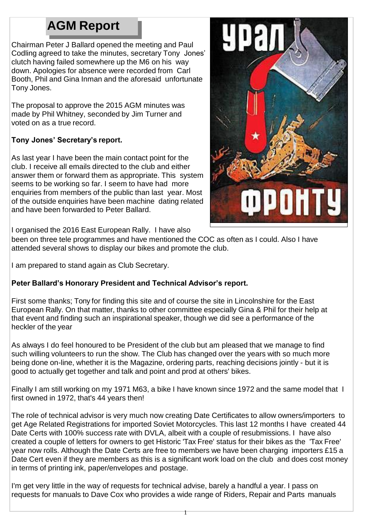# **AGM Report**

Chairman Peter J Ballard opened the meeting and Paul Codling agreed to take the minutes, secretary Tony Jones' clutch having failed somewhere up the M6 on his way down. Apologies for absence were recorded from Carl Booth, Phil and Gina Inman and the aforesaid unfortunate Tony Jones.

The proposal to approve the 2015 AGM minutes was made by Phil Whitney, seconded by Jim Turner and voted on as a true record.

# **Tony Jones' Secretary's report.**

As last year I have been the main contact point for the club. I receive all emails directed to the club and either answer them or forward them as appropriate. This system seems to be working so far. I seem to have had more enquiries from members of the public than last year. Most of the outside enquiries have been machine dating related and have been forwarded to Peter Ballard.



I organised the 2016 East European Rally. I have also

been on three tele programmes and have mentioned the COC as often as I could. Also I have attended several shows to display our bikes and promote the club.

I am prepared to stand again as Club Secretary.

# **Peter Ballard's Honorary President and Technical Advisor's report.**

First some thanks; Tony for finding this site and of course the site in Lincolnshire for the East European Rally. On that matter, thanks to other committee especially Gina & Phil for their help at that event and finding such an inspirational speaker, though we did see a performance of the heckler of the year

As always I do feel honoured to be President of the club but am pleased that we manage to find such willing volunteers to run the show. The Club has changed over the years with so much more being done on-line, whether it is the Magazine, ordering parts, reaching decisions jointly - but it is good to actually get together and talk and point and prod at others' bikes.

Finally I am still working on my 1971 M63, a bike I have known since 1972 and the same model that I first owned in 1972, that's 44 years then!

The role of technical advisor is very much now creating Date Certificates to allow owners/importers to get Age Related Registrations for imported Soviet Motorcycles. This last 12 months I have created 44 Date Certs with 100% success rate with DVLA, albeit with a couple of resubmissions. I have also created a couple of letters for owners to get Historic 'Tax Free' status for their bikes as the 'Tax Free' year now rolls. Although the Date Certs are free to members we have been charging importers £15 a Date Cert even if they are members as this is a significant work load on the club and does cost money in terms of printing ink, paper/envelopes and postage.

I'm get very little in the way of requests for technical advise, barely a handful a year. I pass on requests for manuals to Dave Cox who provides a wide range of Riders, Repair and Parts manuals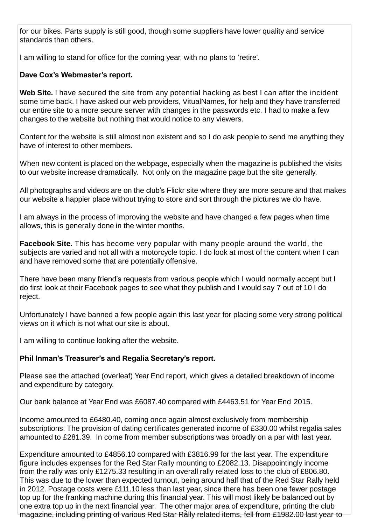for our bikes. Parts supply is still good, though some suppliers have lower quality and service standards than others.

I am willing to stand for office for the coming year, with no plans to 'retire'.

# **Dave Cox's Webmaster's report.**

**Web Site.** I have secured the site from any potential hacking as best I can after the incident some time back. I have asked our web providers, VitualNames, for help and they have transferred our entire site to a more secure server with changes in the passwords etc. I had to make a few changes to the website but nothing that would notice to any viewers.

Content for the website is still almost non existent and so I do ask people to send me anything they have of interest to other members.

When new content is placed on the webpage, especially when the magazine is published the visits to our website increase dramatically. Not only on the magazine page but the site generally.

All photographs and videos are on the club's Flickr site where they are more secure and that makes our website a happier place without trying to store and sort through the pictures we do have.

I am always in the process of improving the website and have changed a few pages when time allows, this is generally done in the winter months.

**Facebook Site.** This has become very popular with many people around the world, the subjects are varied and not all with a motorcycle topic. I do look at most of the content when I can and have removed some that are potentially offensive.

There have been many friend's requests from various people which I would normally accept but I do first look at their Facebook pages to see what they publish and I would say 7 out of 10 I do reject.

Unfortunately I have banned a few people again this last year for placing some very strong political views on it which is not what our site is about.

I am willing to continue looking after the website.

# **Phil Inman's Treasurer's and Regalia Secretary's report.**

Please see the attached (overleaf) Year End report, which gives a detailed breakdown of income and expenditure by category.

Our bank balance at Year End was £6087.40 compared with £4463.51 for Year End 2015.

Income amounted to £6480.40, coming once again almost exclusively from membership subscriptions. The provision of dating certificates generated income of £330.00 whilst regalia sales amounted to £281.39. In come from member subscriptions was broadly on a par with last year.

Expenditure amounted to £4856.10 compared with £3816.99 for the last year. The expenditure figure includes expenses for the Red Star Rally mounting to £2082.13. Disappointingly income from the rally was only £1275.33 resulting in an overall rally related loss to the club of £806.80. This was due to the lower than expected turnout, being around half that of the Red Star Rally held in 2012. Postage costs were £111.10 less than last year, since there has been one fewer postage top up for the franking machine during this financial year. This will most likely be balanced out by one extra top up in the next financial year. The other major area of expenditure, printing the club magazine, including printing of various Red Star Rally related items, fell from £1982.00 last year to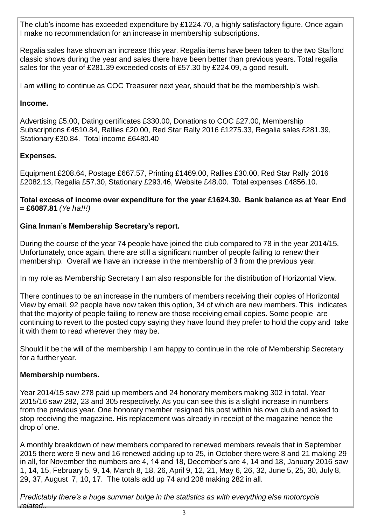The club's income has exceeded expenditure by £1224.70, a highly satisfactory figure. Once again I make no recommendation for an increase in membership subscriptions.

Regalia sales have shown an increase this year. Regalia items have been taken to the two Stafford classic shows during the year and sales there have been better than previous years. Total regalia sales for the year of £281.39 exceeded costs of £57.30 by £224.09, a good result.

I am willing to continue as COC Treasurer next year, should that be the membership's wish.

### **Income.**

Advertising £5.00, Dating certificates £330.00, Donations to COC £27.00, Membership Subscriptions £4510.84, Rallies £20.00, Red Star Rally 2016 £1275.33, Regalia sales £281.39, Stationary £30.84. Total income £6480.40

## **Expenses.**

Equipment £208.64, Postage £667.57, Printing £1469.00, Rallies £30.00, Red Star Rally 2016 £2082.13, Regalia £57.30, Stationary £293.46, Website £48.00. Total expenses £4856.10.

**Total excess of income over expenditure for the year £1624.30. Bank balance as at Year End = £6087.81** *(Ye ha!!!)*

## **Gina Inman's Membership Secretary's report.**

During the course of the year 74 people have joined the club compared to 78 in the year 2014/15. Unfortunately, once again, there are still a significant number of people failing to renew their membership. Overall we have an increase in the membership of 3 from the previous year.

In my role as Membership Secretary I am also responsible for the distribution of Horizontal View.

There continues to be an increase in the numbers of members receiving their copies of Horizontal View by email. 92 people have now taken this option, 34 of which are new members. This indicates that the majority of people failing to renew are those receiving email copies. Some people are continuing to revert to the posted copy saying they have found they prefer to hold the copy and take it with them to read wherever they may be.

Should it be the will of the membership I am happy to continue in the role of Membership Secretary for a further year.

#### **Membership numbers.**

Year 2014/15 saw 278 paid up members and 24 honorary members making 302 in total. Year 2015/16 saw 282, 23 and 305 respectively. As you can see this is a slight increase in numbers from the previous year. One honorary member resigned his post within his own club and asked to stop receiving the magazine. His replacement was already in receipt of the magazine hence the drop of one.

A monthly breakdown of new members compared to renewed members reveals that in September 2015 there were 9 new and 16 renewed adding up to 25, in October there were 8 and 21 making 29 in all, for November the numbers are 4, 14 and 18, December's are 4, 14 and 18, January 2016 saw 1, 14, 15, February 5, 9, 14, March 8, 18, 26, April 9, 12, 21, May 6, 26, 32, June 5, 25, 30, July 8, 29, 37, August 7, 10, 17. The totals add up 74 and 208 making 282 in all.

*Predictably there's a huge summer bulge in the statistics as with everything else motorcycle related..*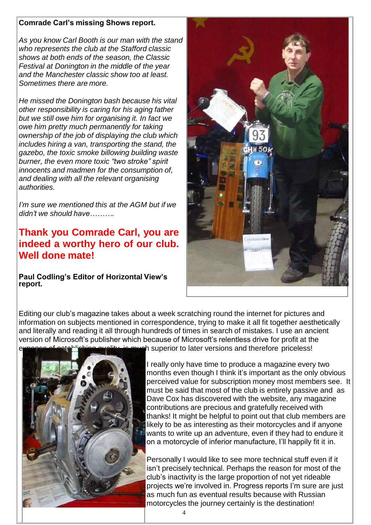#### **Comrade Carl's missing Shows report.**

*As you know Carl Booth is our man with the stand who represents the club at the Stafford classic shows at both ends of the season, the Classic Festival at Donington in the middle of the year and the Manchester classic show too at least. Sometimes there are more.*

*He missed the Donington bash because his vital other responsibility is caring for his aging father but we still owe him for organising it. In fact we owe him pretty much permanently for taking ownership of the job of displaying the club which includes hiring a van, transporting the stand, the gazebo, the toxic smoke billowing building waste burner, the even more toxic "two stroke" spirit innocents and madmen for the consumption of, and dealing with all the relevant organising authorities.*

*I'm sure we mentioned this at the AGM but if we didn't we should have……….*

**Thank you Comrade Carl, you are indeed a worthy hero of our club. Well done mate!**

**Paul Codling's Editor of Horizontal View's report.**



Editing our club's magazine takes about a week scratching round the internet for pictures and information on subjects mentioned in correspondence, trying to make it all fit together aesthetically and literally and reading it all through hundreds of times in search of mistakes. I use an ancient version of Microsoft's publisher which because of Microsoft's relentless drive for profit at the th superior to later versions and therefore priceless!



I really only have time to produce a magazine every two months even though I think it's important as the only obvious perceived value for subscription money most members see. It must be said that most of the club is entirely passive and as Dave Cox has discovered with the website, any magazine contributions are precious and gratefully received with thanks! It might be helpful to point out that club members are likely to be as interesting as their motorcycles and if anyone wants to write up an adventure, even if they had to endure it on a motorcycle of inferior manufacture, I'll happily fit it in.

Personally I would like to see more technical stuff even if it isn't precisely technical. Perhaps the reason for most of the club's inactivity is the large proportion of not yet rideable projects we're involved in. Progress reports I'm sure are just as much fun as eventual results because with Russian motorcycles the journey certainly is the destination!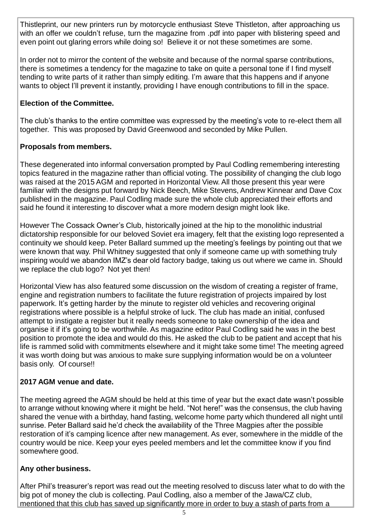Thistleprint, our new printers run by motorcycle enthusiast Steve Thistleton, after approaching us with an offer we couldn't refuse, turn the magazine from .pdf into paper with blistering speed and even point out glaring errors while doing so! Believe it or not these sometimes are some.

In order not to mirror the content of the website and because of the normal sparse contributions, there is sometimes a tendency for the magazine to take on quite a personal tone if I find myself tending to write parts of it rather than simply editing. I'm aware that this happens and if anyone wants to object I'll prevent it instantly, providing I have enough contributions to fill in the space.

## **Election of the Committee.**

The club's thanks to the entire committee was expressed by the meeting's vote to re-elect them all together. This was proposed by David Greenwood and seconded by Mike Pullen.

#### **Proposals from members.**

These degenerated into informal conversation prompted by Paul Codling remembering interesting topics featured in the magazine rather than official voting. The possibility of changing the club logo was raised at the 2015 AGM and reported in Horizontal View. All those present this year were familiar with the designs put forward by Nick Beech, Mike Stevens, Andrew Kinnear and Dave Cox published in the magazine. Paul Codling made sure the whole club appreciated their efforts and said he found it interesting to discover what a more modern design might look like.

However The Cossack Owner's Club, historically joined at the hip to the monolithic industrial dictatorship responsible for our beloved Soviet era imagery, felt that the existing logo represented a continuity we should keep. Peter Ballard summed up the meeting's feelings by pointing out that we were known that way. Phil Whitney suggested that only if someone came up with something truly inspiring would we abandon IMZ's dear old factory badge, taking us out where we came in. Should we replace the club logo? Not yet then!

Horizontal View has also featured some discussion on the wisdom of creating a register of frame, engine and registration numbers to facilitate the future registration of projects impaired by lost paperwork. It's getting harder by the minute to register old vehicles and recovering original registrations where possible is a helpful stroke of luck. The club has made an initial, confused attempt to instigate a register but it really needs someone to take ownership of the idea and organise it if it's going to be worthwhile. As magazine editor Paul Codling said he was in the best position to promote the idea and would do this. He asked the club to be patient and accept that his life is rammed solid with commitments elsewhere and it might take some time! The meeting agreed it was worth doing but was anxious to make sure supplying information would be on a volunteer basis only. Of course!!

#### **2017 AGM venue and date.**

The meeting agreed the AGM should be held at this time of year but the exact date wasn't possible to arrange without knowing where it might be held. "Not here!" was the consensus, the club having shared the venue with a birthday, hand fasting, welcome home party which thundered all night until sunrise. Peter Ballard said he'd check the availability of the Three Magpies after the possible restoration of it's camping licence after new management. As ever, somewhere in the middle of the country would be nice. Keep your eyes peeled members and let the committee know if you find somewhere good.

#### **Any other business.**

After Phil's treasurer's report was read out the meeting resolved to discuss later what to do with the big pot of money the club is collecting. Paul Codling, also a member of the Jawa/CZ club, mentioned that this club has saved up significantly more in order to buy a stash of parts from a